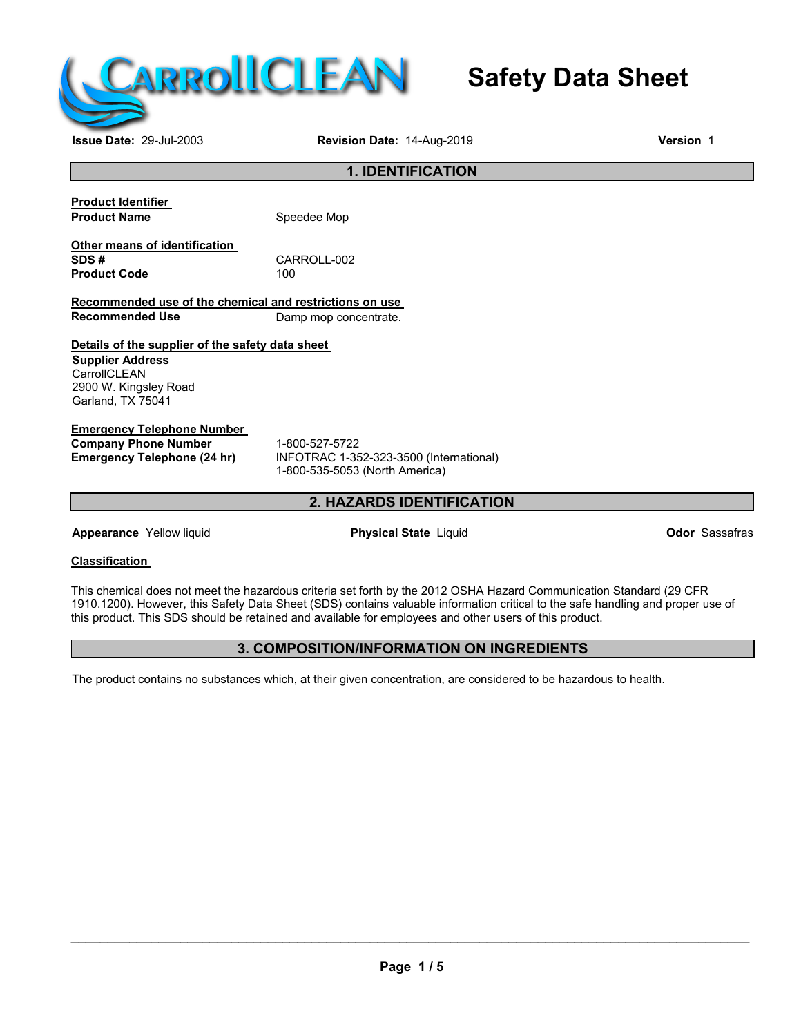

# **Safety Data Sheet**

**Issue Date:** 29-Jul-2003 **Revision Date:** 14-Aug-2019 **Version** 1

# **1. IDENTIFICATION**

| <b>Product Identifier</b> |  |
|---------------------------|--|
| <b>Product Name</b>       |  |

**Speedee Mop** 

**Other means of identification Product Code** 

CARROLL-002<br>100

**Recommended use of the chemical and restrictions on use Damp mop concentrate.** 

## **Details of the supplier of the safety data sheet**

**Supplier Address CarrollCLEAN** 2900 W. Kingsley Road Garland, TX 75041

## **Emergency Telephone Number**

**Company Phone Number** 1-800-527-5722<br> **Emergency Telephone (24 hr)** INFOTRAC 1-35

**Emergency Telephone (24 hr)** INFOTRAC 1-352-323-3500 (International) 1-800-535-5053 (North America)

# **2. HAZARDS IDENTIFICATION**

**Appearance** Yellow liquid **Physical State** Liquid **Odor** Sassafras

## **Classification**

This chemical does not meet the hazardous criteria set forth by the 2012 OSHA Hazard Communication Standard (29 CFR 1910.1200). However, this Safety Data Sheet (SDS) contains valuable information critical to the safe handling and proper use of this product. This SDS should be retained and available for employees and other users of this product.

# **3. COMPOSITION/INFORMATION ON INGREDIENTS**

The product contains no substances which, at their given concentration, are considered to be hazardous to health.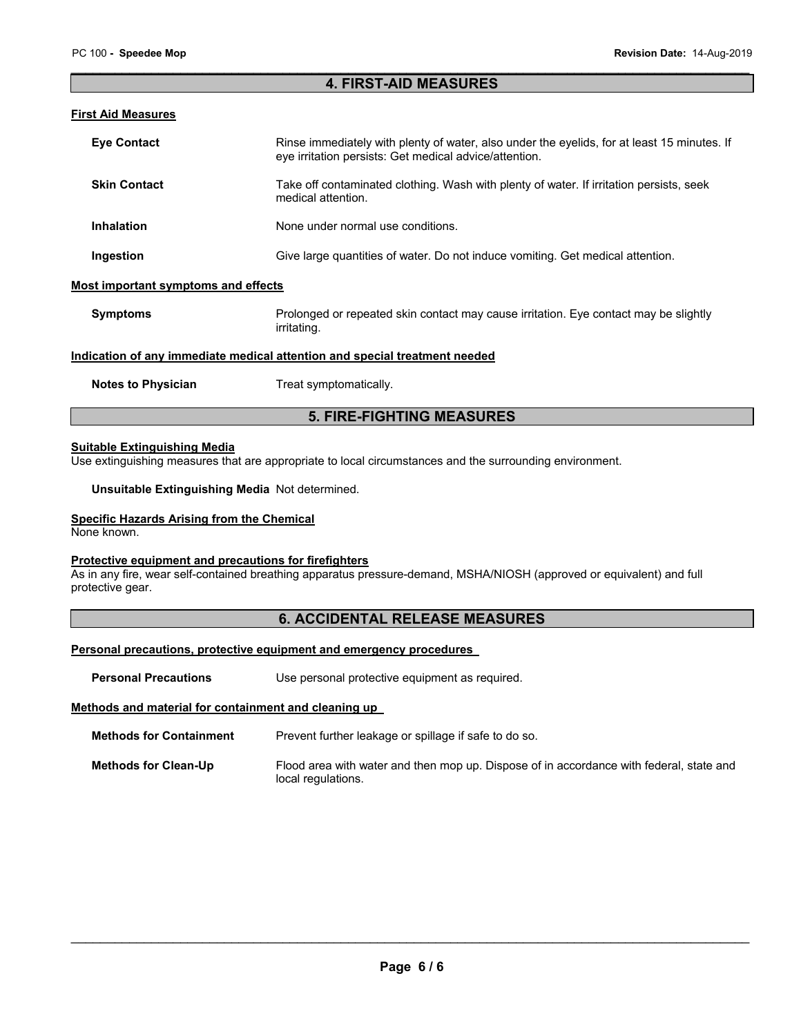#### \_\_\_\_\_\_\_\_\_\_\_\_\_\_\_\_\_\_\_\_\_\_\_\_\_\_\_\_\_\_\_\_\_\_\_\_\_\_\_\_\_\_\_\_\_\_\_\_\_\_\_\_\_\_\_\_\_\_\_\_\_\_\_\_\_\_\_\_\_\_\_\_\_\_\_\_\_\_\_\_\_\_\_\_\_\_\_\_\_\_\_\_\_ **4. FIRST-AID MEASURES**

## **First Aid Measures**

| <b>Eve Contact</b>                                                         | Rinse immediately with plenty of water, also under the eyelids, for at least 15 minutes. If<br>eye irritation persists: Get medical advice/attention. |  |  |
|----------------------------------------------------------------------------|-------------------------------------------------------------------------------------------------------------------------------------------------------|--|--|
| <b>Skin Contact</b>                                                        | Take off contaminated clothing. Wash with plenty of water. If irritation persists, seek<br>medical attention.                                         |  |  |
| <b>Inhalation</b>                                                          | None under normal use conditions.                                                                                                                     |  |  |
| Ingestion                                                                  | Give large quantities of water. Do not induce vomiting. Get medical attention.                                                                        |  |  |
| Most important symptoms and effects                                        |                                                                                                                                                       |  |  |
| <b>Symptoms</b>                                                            | Prolonged or repeated skin contact may cause irritation. Eye contact may be slightly<br>irritating.                                                   |  |  |
| Indication of any immediate medical attention and special treatment needed |                                                                                                                                                       |  |  |

**Notes to Physician**  Treat symptomatically.

# **5. FIRE-FIGHTING MEASURES**

#### **Suitable Extinguishing Media**

Use extinguishing measures that are appropriate to local circumstances and the surrounding environment.

**Unsuitable Extinguishing Media** Not determined.

## **Specific Hazards Arising from the Chemical**

None known.

## **Protective equipment and precautions for firefighters**

As in any fire, wear self-contained breathing apparatus pressure-demand, MSHA/NIOSH (approved or equivalent) and full protective gear.

# **6. ACCIDENTAL RELEASE MEASURES**

#### **Personal precautions, protective equipment and emergency procedures**

**Personal Precautions Use personal protective equipment as required.** 

#### **Methods and material for containment and cleaning up**

**Methods for Containment** Prevent further leakage or spillage if safe to do so.

| Methods for Clean-Up | Flood area with water and then mop up. Dispose of in accordance with federal, state and |  |
|----------------------|-----------------------------------------------------------------------------------------|--|
|                      | local regulations.                                                                      |  |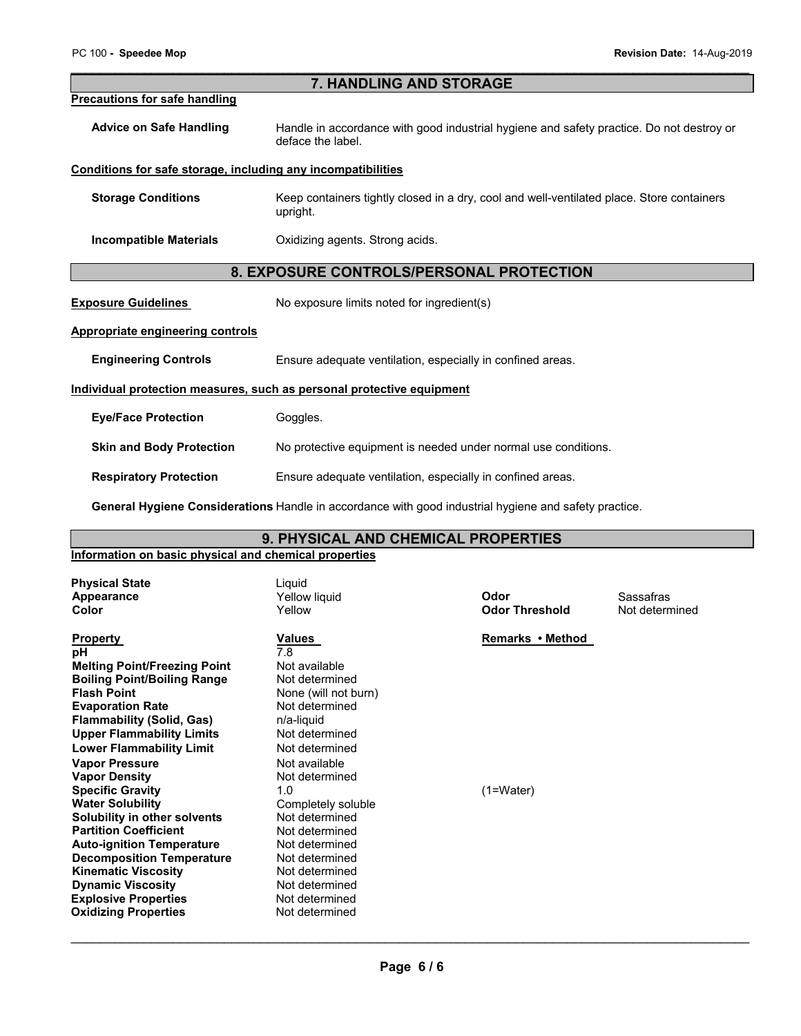#### \_\_\_\_\_\_\_\_\_\_\_\_\_\_\_\_\_\_\_\_\_\_\_\_\_\_\_\_\_\_\_\_\_\_\_\_\_\_\_\_\_\_\_\_\_\_\_\_\_\_\_\_\_\_\_\_\_\_\_\_\_\_\_\_\_\_\_\_\_\_\_\_\_\_\_\_\_\_\_\_\_\_\_\_\_\_\_\_\_\_\_\_\_ **7. HANDLING AND STORAGE**

#### **Precautions for safe handling**

**Advice on Safe Handling** Handle in accordance with good industrial hygiene and safety practice. Do not destroy or deface the label.

#### **Conditions for safe storage, including any incompatibilities**

**Storage Conditions Keep containers tightly closed in a dry, cool and well-ventilated place. Store containers** upright.

**Incompatible Materials Canadian Constanting agents. Strong acids.** 

## **8. EXPOSURE CONTROLS/PERSONAL PROTECTION**

**Exposure Guidelines** No exposure limits noted for ingredient(s)

## **Appropriate engineering controls**

**Engineering Controls Ensure adequate ventilation, especially in confined areas.** 

#### **Individual protection measures, such as personal protective equipment**

| <b>Eye/Face Protection</b> | Goggles. |
|----------------------------|----------|
|----------------------------|----------|

**Skin and Body Protection** No protective equipment is needed under normal use conditions.

**Respiratory Protection Ensure adequate ventilation, especially in confined areas.** 

**General Hygiene Considerations** Handle in accordance with good industrial hygiene and safety practice.

# **9. PHYSICAL AND CHEMICAL PROPERTIES**

## **Information on basic physical and chemical properties Physical State** Liquid **Appearance** Yellow liquid **Odor** Sassafras **Color** Yellow **Odor Threshold** Not determined **Property CONFINGER WAS MEDIATELY CONFIDENT WAS ABOUT A PERIOD REMARKS • Method pH** and a property contract a method of  $\frac{1}{7.8}$  and  $\frac{1}{2}$  and  $\frac{1}{2}$  and  $\frac{1}{2}$  and  $\frac{1}{2}$  and  $\frac{1}{2}$  and  $\frac{1}{2}$  and **pH** 7.8 **Melting Point/Freezing Point Mot available Boiling Point/Boiling Range 6 Not determined<br>
<b>Flash Point Communisty Range 19** None (will not b) **None (will not burn)**<br>Not determined **Evaporation Rate Not deter**<br> **Flammability (Solid, Gas)** 
n/a-liquid **Flammability (Solid, Gas) n/a-liquid**<br> **Upper Flammability Limits** Not determined **Upper Flammability Limits Lower Flammability Limit** Not determined **Vapor Pressure and American Control Control Vapor Pressure Control Vapor Pressure Control Vapor Pressure Control V**<br> **Not determined** Vapor Control Vapor Control Vapor Pressure Control Vapor Control Vapor Control Vapor Co **Vapor Density** Not determined **Specific Gravity 1.0** (1=Water) **Water Solubility Water Solubility 1.0** Completely soluble<br>Not determined **Solubility in other solvents Not determined**<br> **Partition Coefficient Not determined Partition Coefficient Not determined**<br> **Auto-ignition Temperature** Not determined **Auto-ignition Temperature Mot determined Decomposition Temperature Mot Not determined Decomposition Temperature Not determined**<br>**Kinematic Viscosity Not determined Kinematic Viscosity**<br> **Communic Viscosity**<br> **Not determined Dynamic Viscosity**<br> **Explosive Properties**<br> **Not determined Explosive Properties**<br> **Cxidizing Properties**<br> **Oxidizing Properties Oxidizing Properties**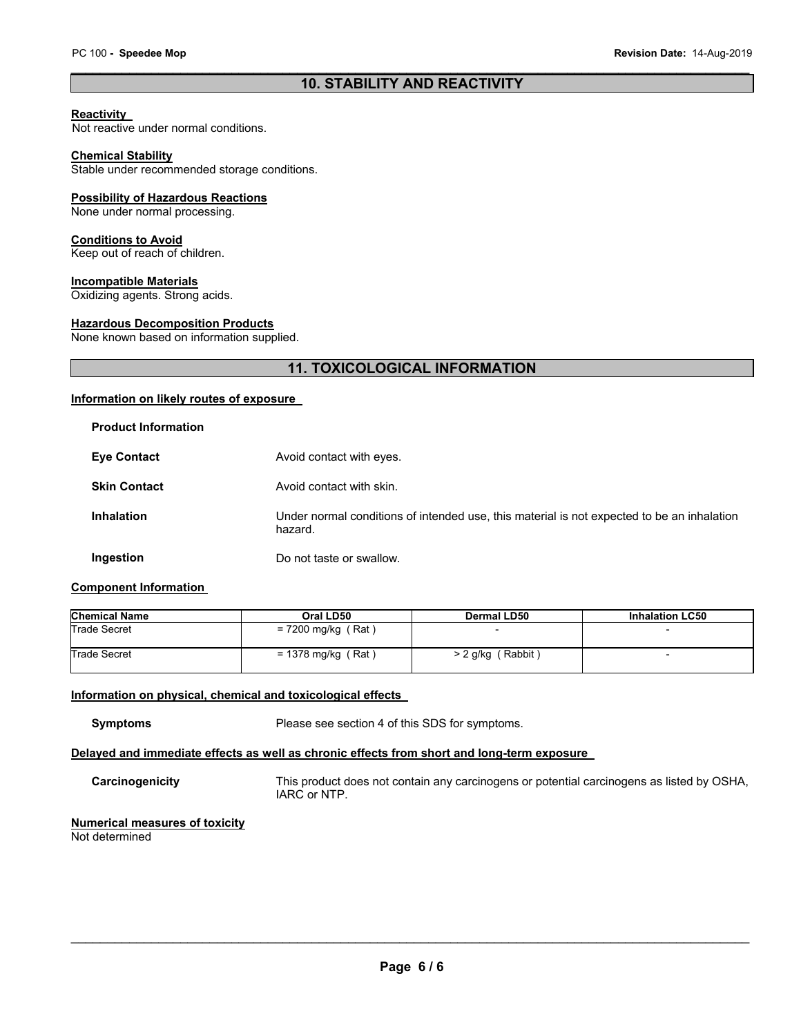## \_\_\_\_\_\_\_\_\_\_\_\_\_\_\_\_\_\_\_\_\_\_\_\_\_\_\_\_\_\_\_\_\_\_\_\_\_\_\_\_\_\_\_\_\_\_\_\_\_\_\_\_\_\_\_\_\_\_\_\_\_\_\_\_\_\_\_\_\_\_\_\_\_\_\_\_\_\_\_\_\_\_\_\_\_\_\_\_\_\_\_\_\_ **10. STABILITY AND REACTIVITY**

## **Reactivity**

Not reactive under normal conditions.

#### **Chemical Stability**

Stable under recommended storage conditions.

## **Possibility of Hazardous Reactions**

None under normal processing.

#### **Conditions to Avoid**

Keep out of reach of children.

#### **Incompatible Materials**

Oxidizing agents. Strong acids.

#### **Hazardous Decomposition Products**

None known based on information supplied.

# **11. TOXICOLOGICAL INFORMATION**

## **Information on likely routes of exposure**

| <b>Product Information</b> |                                                                                                       |
|----------------------------|-------------------------------------------------------------------------------------------------------|
| <b>Eye Contact</b>         | Avoid contact with eyes.                                                                              |
| <b>Skin Contact</b>        | Avoid contact with skin.                                                                              |
| <b>Inhalation</b>          | Under normal conditions of intended use, this material is not expected to be an inhalation<br>hazard. |
| Ingestion                  | Do not taste or swallow.                                                                              |

## **Component Information**

| <b>Chemical Name</b> | Oral LD50            | Dermal LD50         | <b>Inhalation LC50</b>   |
|----------------------|----------------------|---------------------|--------------------------|
| <b>Trade Secret</b>  | = 7200 mg/kg (Rat)   |                     | $\overline{\phantom{a}}$ |
| <b>Trade Secret</b>  | $= 1378$ mg/kg (Rat) | $> 2$ g/kg (Rabbit) | $\overline{\phantom{0}}$ |

#### **Information on physical, chemical and toxicological effects**

**Symptoms** Please see section 4 of this SDS for symptoms.

# **Delayed and immediate effects as well as chronic effects from short and long-term exposure**

**Carcinogenicity** This product does not contain any carcinogens or potential carcinogens as listed by OSHA, IARC or NTP.

#### **Numerical measures of toxicity** Not determined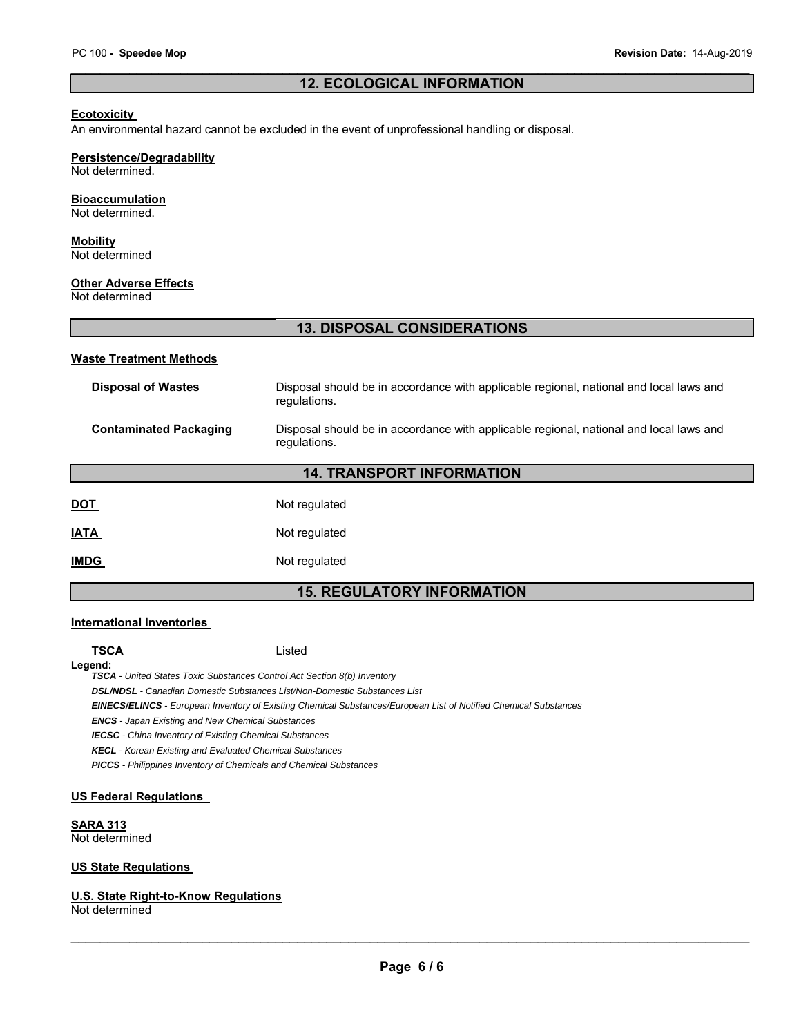## \_\_\_\_\_\_\_\_\_\_\_\_\_\_\_\_\_\_\_\_\_\_\_\_\_\_\_\_\_\_\_\_\_\_\_\_\_\_\_\_\_\_\_\_\_\_\_\_\_\_\_\_\_\_\_\_\_\_\_\_\_\_\_\_\_\_\_\_\_\_\_\_\_\_\_\_\_\_\_\_\_\_\_\_\_\_\_\_\_\_\_\_\_ **12. ECOLOGICAL INFORMATION**

#### **Ecotoxicity**

An environmental hazard cannot be excluded in the event of unprofessional handling or disposal.

## **Persistence/Degradability**

Not determined.

#### **Bioaccumulation**

Not determined.

## **Mobility**

Not determined

#### **Other Adverse Effects**

Not determined

# **13. DISPOSAL CONSIDERATIONS**

#### **Waste Treatment Methods**

| <b>Disposal of Wastes</b><br>Disposal should be in accordance with applicable regional, national and local laws and<br>regulations. |                                                                                                        |  |
|-------------------------------------------------------------------------------------------------------------------------------------|--------------------------------------------------------------------------------------------------------|--|
| <b>Contaminated Packaging</b>                                                                                                       | Disposal should be in accordance with applicable regional, national and local laws and<br>regulations. |  |
| <b>14. TRANSPORT INFORMATION</b>                                                                                                    |                                                                                                        |  |
| <u>DOT</u>                                                                                                                          | Not regulated                                                                                          |  |
| <b>ATA</b>                                                                                                                          | Not regulated                                                                                          |  |
| <b>IMDG</b>                                                                                                                         | Not regulated                                                                                          |  |

# **15. REGULATORY INFORMATION**

#### **International Inventories**

**TSCA** Listed

**Legend:**  *TSCA - United States Toxic Substances Control Act Section 8(b) Inventory* 

*DSL/NDSL - Canadian Domestic Substances List/Non-Domestic Substances List* 

*EINECS/ELINCS - European Inventory of Existing Chemical Substances/European List of Notified Chemical Substances* 

*ENCS - Japan Existing and New Chemical Substances* 

*IECSC - China Inventory of Existing Chemical Substances* 

*KECL - Korean Existing and Evaluated Chemical Substances* 

*PICCS - Philippines Inventory of Chemicals and Chemical Substances* 

#### **US Federal Regulations**

**SARA 313**

Not determined

## **US State Regulations**

#### **U.S. State Right-to-Know Regulations**

Not determined